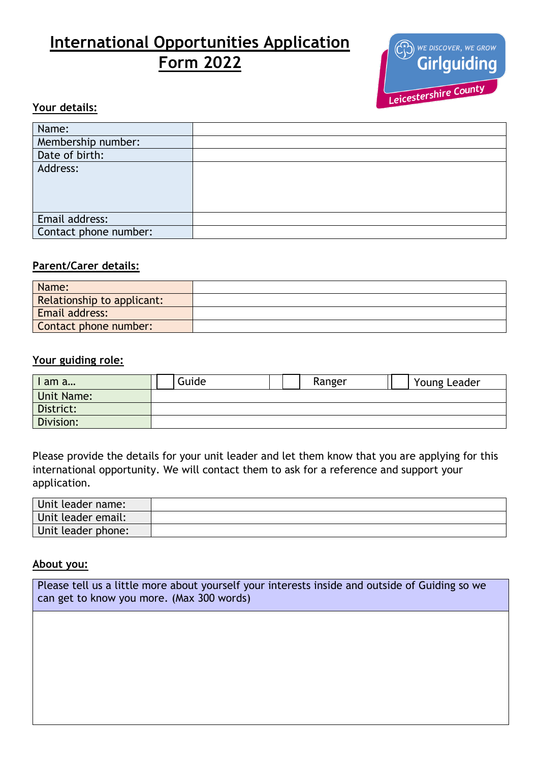# **International Opportunities Application Form 2022**



## **Your details:**

| Name:                 |  |
|-----------------------|--|
| Membership number:    |  |
| Date of birth:        |  |
| Address:              |  |
|                       |  |
|                       |  |
|                       |  |
| Email address:        |  |
| Contact phone number: |  |

## **Parent/Carer details:**

| Name:                      |  |
|----------------------------|--|
| Relationship to applicant: |  |
| <b>Email address:</b>      |  |
| Contact phone number:      |  |

#### **Your guiding role:**

| I am a            | Guide |  | Ranger | Young Leader |
|-------------------|-------|--|--------|--------------|
| <b>Unit Name:</b> |       |  |        |              |
| District:         |       |  |        |              |
| Division:         |       |  |        |              |

Please provide the details for your unit leader and let them know that you are applying for this international opportunity. We will contact them to ask for a reference and support your application.

| Unit leader name:  |  |
|--------------------|--|
| Unit leader email: |  |
| Unit leader phone: |  |

#### **About you:**

| Please tell us a little more about yourself your interests inside and outside of Guiding so we |
|------------------------------------------------------------------------------------------------|
| can get to know you more. (Max 300 words)                                                      |